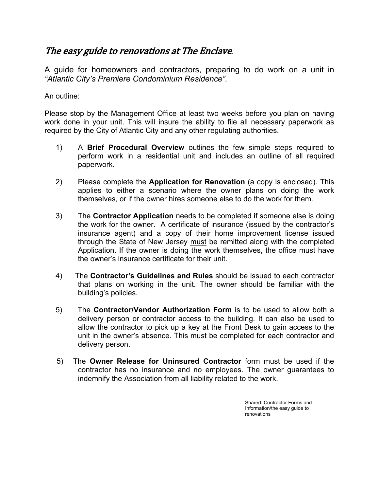### The easy guide to renovations at The Enclave.

A guide for homeowners and contractors, preparing to do work on a unit in "Atlantic City's Premiere Condominium Residence".<br>An outline:

Please stop by the Management Office at least two weeks before you plan on having work done in your unit. This will insure the ability to file all necessary paperwork as required by the City of Atlantic City and any other regulating authorities.

- 1) A Brief Procedural Overview outlines the few simple steps required to perform work in a residential unit and includes an outline of all required paperwork.
- 2) Please complete the **Application for Renovation** (a copy is enclosed). This applies to either a scenario where the owner plans on doing the work themselves, or if the owner hires someone else to do the work for them.
- 3) The Contractor Application needs to be completed if someone else is doing the work for the owner. A certificate of insurance (issued by the contractor's insurance agent) and a copy of their home improvement license issued through the State of New Jersey must be remitted along with the completed Application. If the owner is doing the work themselves, the office must have the owner's insurance certificate for their unit.
- 4) The Contractor's Guidelines and Rules should be issued to each contractor that plans on working in the unit. The owner should be familiar with the building's policies.
- 5) The Contractor/Vendor Authorization Form is to be used to allow both a delivery person or contractor access to the building. It can also be used to allow the contractor to pick up a key at the Front Desk to gain access to the unit in the owner's absence. This must be completed for each contractor and delivery person.
- 5) The Owner Release for Uninsured Contractor form must be used if the contractor has no insurance and no employees. The owner guarantees to indemnify the Association from all liability related to the work.

Shared: Contractor Forms and Information/the easy guide to renovations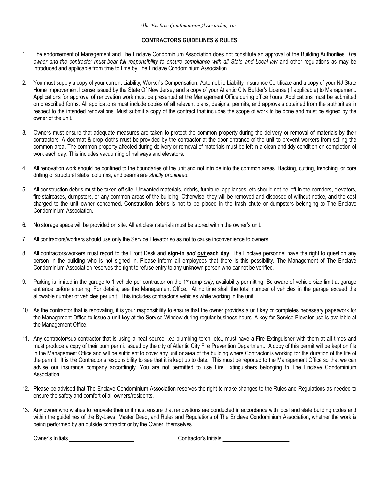#### CONTRACTORS GUIDELINES & RULES

- 1. The endorsement of Management and The Enclave Condominium Association does not constitute an approval of the Building Authorities. The owner and the contractor must bear full responsibility to ensure compliance with all State and Local law and other regulations as may be introduced and applicable from time to time by The Enclave Condominium Association.
- 2. You must supply a copy of your current Liability, Worker's Compensation, Automobile Liability Insurance Certificate and a copy of your NJ State Home Improvement license issued by the State Of New Jersey and a copy of your Atlantic City Builder's License (if applicable) to Management. Applications for approval of renovation work must be presented at the Management Office during office hours. Applications must be submitted on prescribed forms. All applications must include copies of all relevant plans, designs, permits, and approvals obtained from the authorities in respect to the intended renovations. Must submit a copy of the contract that includes the scope of work to be done and must be signed by the owner of the unit.
- 3. Owners must ensure that adequate measures are taken to protect the common property during the delivery or removal of materials by their contractors. A doormat & drop cloths must be provided by the contractor at the door entrance of the unit to prevent workers from soiling the common area. The common property affected during delivery or removal of materials must be left in a clean and tidy condition on completion of work each day. This includes vacuuming of hallways and elevators.
- 4. All renovation work should be confined to the boundaries of the unit and not intrude into the common areas. Hacking, cutting, trenching, or core drilling of structural slabs, columns, and beams are strictly prohibited.
- 5. All construction debris must be taken off site. Unwanted materials, debris, furniture, appliances, etc should not be left in the corridors, elevators, fire staircases, dumpsters, or any common areas of the building. Otherwise, they will be removed and disposed of without notice, and the cost charged to the unit owner concerned. Construction debris is not to be placed in the trash chute or dumpsters belonging to The Enclave Condominium Association.
- 6. No storage space will be provided on site. All articles/materials must be stored within the owner's unit.
- 7. All contractors/workers should use only the Service Elevator so as not to cause inconvenience to owners.
- 8. All contractors/workers must report to the Front Desk and sign-in and out each day. The Enclave personnel have the right to question any person in the building who is not signed in. Please inform all employees that there is this possibility. The Management of The Enclave Condominium Association reserves the right to refuse entry to any unknown person who cannot be verified.
- 9. Parking is limited in the garage to 1 vehicle per contractor on the 1<sup>st</sup> ramp only, availability permitting. Be aware of vehicle size limit at garage entrance before entering. For details, see the Management Office. At no time shall the total number of vehicles in the garage exceed the allowable number of vehicles per unit. This includes contractor's vehicles while working in the unit.
- 10. As the contractor that is renovating, it is your responsibility to ensure that the owner provides a unit key or completes necessary paperwork for the Management Office to issue a unit key at the Service Window during regular business hours. A key for Service Elevator use is available at the Management Office.
- 11. Any contractor/sub-contractor that is using a heat source i.e.: plumbing torch, etc., must have a Fire Extinguisher with them at all times and must produce a copy of their burn permit issued by the city of Atlantic City Fire Prevention Department. A copy of this permit will be kept on file in the Management Office and will be sufficient to cover any unit or area of the building where Contractor is working for the duration of the life of the permit. It is the Contractor's responsibility to see that it is kept up to date. This must be reported to the Management Office so that we can advise our insurance company accordingly. You are not permitted to use Fire Extinguishers belonging to The Enclave Condominium Association.
- 12. Please be advised that The Enclave Condominium Association reserves the right to make changes to the Rules and Regulations as needed to ensure the safety and comfort of all owners/residents.
- 13. Any owner who wishes to renovate their unit must ensure that renovations are conducted in accordance with local and state building codes and within the guidelines of the By-Laws, Master Deed, and Rules and Regulations of The Enclave Condominium Association, whether the work is being performed by an outside contractor or by the Owner, themselves.

Owners Initials Contractors Initials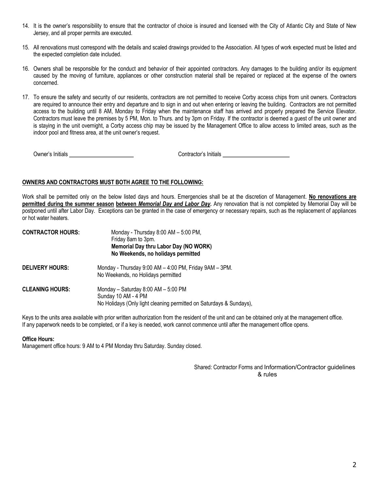- 14. It is the owner's responsibility to ensure that the contractor of choice is insured and licensed with the City of Atlantic City and State of New Jersey, and all proper permits are executed.
- 15. All renovations must correspond with the details and scaled drawings provided to the Association. All types of work expected must be listed and the expected completion date included.
- 16. Owners shall be responsible for the conduct and behavior of their appointed contractors. Any damages to the building and/or its equipment caused by the moving of furniture, appliances or other construction material shall be repaired or replaced at the expense of the owners concerned.
- 17. To ensure the safety and security of our residents, contractors are not permitted to receive Corby access chips from unit owners. Contractors are required to announce their entry and departure and to sign in and out when entering or leaving the building. Contractors are not permitted access to the building until 8 AM, Monday to Friday when the maintenance staff has arrived and properly prepared the Service Elevator. Contractors must leave the premises by 5 PM, Mon. to Thurs. and by 3pm on Friday. If the contractor is deemed a guest of the unit owner and is staying in the unit overnight, a Corby access chip may be issued by the Management Office to allow access to limited areas, such as the indoor pool and fitness area, at the unit owner's request.

Owners Initials Contractors Initials

#### OWNERS AND CONTRACTORS MUST BOTH AGREE TO THE FOLLOWING:

Work shall be permitted only on the below listed days and hours. Emergencies shall be at the discretion of Management. No renovations are permitted during the summer season between Memorial Day and Labor Day. Any renovation that is not completed by Memorial Day will be postponed until after Labor Day. Exceptions can be granted in the case of emergency or necessary repairs, such as the replacement of appliances or hot water heaters.

| <b>CONTRACTOR HOURS:</b> | Monday - Thursday 8:00 AM - 5:00 PM,<br>Friday 8am to 3pm.<br>Memorial Day thru Labor Day (NO WORK)<br>No Weekends, no holidays permitted |  |  |
|--------------------------|-------------------------------------------------------------------------------------------------------------------------------------------|--|--|
| <b>DELIVERY HOURS:</b>   | Monday - Thursday 9:00 AM - 4:00 PM, Friday 9AM - 3PM.<br>No Weekends, no Holidays permitted                                              |  |  |
| <b>CLEANING HOURS:</b>   | Monday - Saturday 8:00 AM - 5:00 PM<br>Sunday 10 AM - 4 PM<br>No Holidays (Only light cleaning permitted on Saturdays & Sundays),         |  |  |

Keys to the units area available with prior written authorization from the resident of the unit and can be obtained only at the management office. If any paperwork needs to be completed, or if a key is needed, work cannot commence until after the management office opens.

#### Office Hours:

Management office hours: 9 AM to 4 PM Monday thru Saturday. Sunday closed.

Shared: Contractor Forms and Information/Contractor guidelines & rules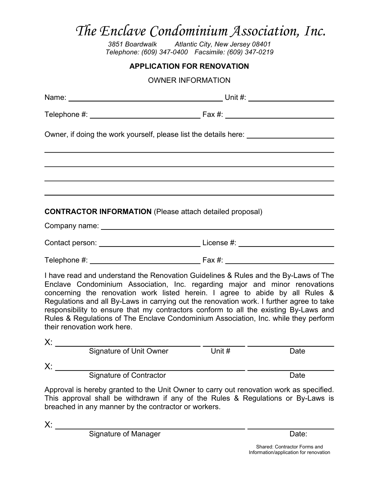Atlantic City, New Jersey 08401 Telephone: (609) 347-0400 Facsimile: (609) 347-0219

#### APPLICATION FOR RENOVATION

OWNER INFORMATION

| Owner, if doing the work yourself, please list the details here: ________________                                                                                                                                                                                                                                                                                                                                                                                                                                                                             |                |  |  |
|---------------------------------------------------------------------------------------------------------------------------------------------------------------------------------------------------------------------------------------------------------------------------------------------------------------------------------------------------------------------------------------------------------------------------------------------------------------------------------------------------------------------------------------------------------------|----------------|--|--|
|                                                                                                                                                                                                                                                                                                                                                                                                                                                                                                                                                               |                |  |  |
|                                                                                                                                                                                                                                                                                                                                                                                                                                                                                                                                                               |                |  |  |
| <b>CONTRACTOR INFORMATION</b> (Please attach detailed proposal)                                                                                                                                                                                                                                                                                                                                                                                                                                                                                               |                |  |  |
|                                                                                                                                                                                                                                                                                                                                                                                                                                                                                                                                                               |                |  |  |
|                                                                                                                                                                                                                                                                                                                                                                                                                                                                                                                                                               |                |  |  |
|                                                                                                                                                                                                                                                                                                                                                                                                                                                                                                                                                               |                |  |  |
| I have read and understand the Renovation Guidelines & Rules and the By-Laws of The<br>Enclave Condominium Association, Inc. regarding major and minor renovations<br>concerning the renovation work listed herein. I agree to abide by all Rules &<br>Regulations and all By-Laws in carrying out the renovation work. I further agree to take<br>responsibility to ensure that my contractors conform to all the existing By-Laws and<br>Rules & Regulations of The Enclave Condominium Association, Inc. while they perform<br>their renovation work here. |                |  |  |
|                                                                                                                                                                                                                                                                                                                                                                                                                                                                                                                                                               |                |  |  |
| <b>Signature of Unit Owner</b>                                                                                                                                                                                                                                                                                                                                                                                                                                                                                                                                | Unit #<br>Date |  |  |
| X:<br><b>Signature of Contractor</b>                                                                                                                                                                                                                                                                                                                                                                                                                                                                                                                          | Date           |  |  |
| Approval is hereby granted to the Unit Owner to carry out renovation work as specified.<br>This approval shall be withdrawn if any of the Rules & Regulations or By-Laws is<br>breached in any manner by the contractor or workers.                                                                                                                                                                                                                                                                                                                           |                |  |  |

X:

Signature of Manager Date: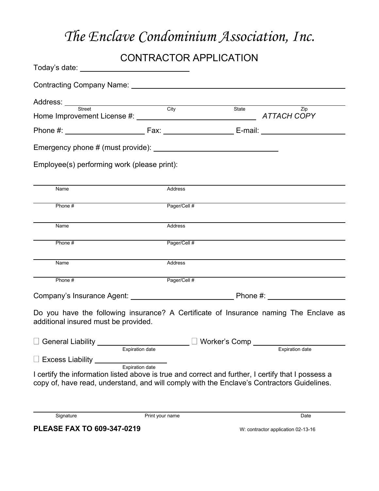# CONTRACTOR APPLICATION

| Today's date: _________________________________                                                                                                                                                  |                        |                                           |                        |
|--------------------------------------------------------------------------------------------------------------------------------------------------------------------------------------------------|------------------------|-------------------------------------------|------------------------|
|                                                                                                                                                                                                  |                        |                                           |                        |
| Address: <u>Street City</u>                                                                                                                                                                      |                        |                                           |                        |
|                                                                                                                                                                                                  |                        | State                                     | Zip                    |
|                                                                                                                                                                                                  |                        |                                           |                        |
|                                                                                                                                                                                                  |                        |                                           |                        |
| Employee(s) performing work (please print):                                                                                                                                                      |                        |                                           |                        |
| Name                                                                                                                                                                                             | Address                |                                           |                        |
| Phone #                                                                                                                                                                                          | Pager/Cell #           |                                           |                        |
| Name                                                                                                                                                                                             | Address                |                                           |                        |
| Phone #                                                                                                                                                                                          | Pager/Cell #           |                                           |                        |
| Name                                                                                                                                                                                             | Address                |                                           |                        |
| Phone #                                                                                                                                                                                          | Pager/Cell #           |                                           |                        |
|                                                                                                                                                                                                  |                        |                                           |                        |
| Do you have the following insurance? A Certificate of Insurance naming The Enclave as<br>additional insured must be provided.                                                                    |                        |                                           |                        |
| □ General Liability _____                                                                                                                                                                        | Expiration date        | $\Box$ Worker's Comp $\rule{1em}{0.15mm}$ | <b>Expiration date</b> |
| $\Box$ Excess Liability                                                                                                                                                                          |                        |                                           |                        |
| I certify the information listed above is true and correct and further, I certify that I possess a<br>copy of, have read, understand, and will comply with the Enclave's Contractors Guidelines. | <b>Expiration date</b> |                                           |                        |
| Signature                                                                                                                                                                                        | Print your name        |                                           | Date                   |

**PLEASE FAX TO 609-347-0219** W: contractor application 02-13-16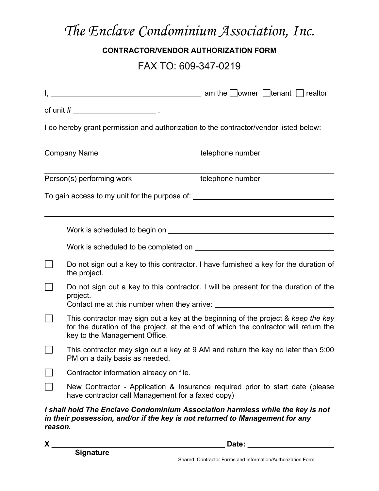### CONTRACTOR/VENDOR AUTHORIZATION FORM

## FAX TO: 609-347-0219

|         | of unit # $\frac{1}{2}$ .                         |                                                                                                                                                                                                                                                                                                                         |
|---------|---------------------------------------------------|-------------------------------------------------------------------------------------------------------------------------------------------------------------------------------------------------------------------------------------------------------------------------------------------------------------------------|
|         |                                                   | I do hereby grant permission and authorization to the contractor/vendor listed below:                                                                                                                                                                                                                                   |
|         | <b>Company Name</b>                               | telephone number                                                                                                                                                                                                                                                                                                        |
|         | Person(s) performing work                         | telephone number                                                                                                                                                                                                                                                                                                        |
|         |                                                   | To gain access to my unit for the purpose of: __________________________________                                                                                                                                                                                                                                        |
|         |                                                   | ,我们也不会有什么。""我们的人,我们也不会有什么?""我们的人,我们也不会有什么?""我们的人,我们也不会有什么?""我们的人,我们也不会有什么?""我们的人<br>Work is scheduled to begin on <b>Example 20</b> North Contract to the schedule of the schedule of the schedule of the schedule of the schedule of the schedule of the schedule of the schedule of the schedule of the schedule of t |
|         |                                                   |                                                                                                                                                                                                                                                                                                                         |
|         | the project.                                      | Do not sign out a key to this contractor. I have furnished a key for the duration of                                                                                                                                                                                                                                    |
|         | project.                                          | Do not sign out a key to this contractor. I will be present for the duration of the                                                                                                                                                                                                                                     |
|         | key to the Management Office.                     | This contractor may sign out a key at the beginning of the project & keep the key<br>for the duration of the project, at the end of which the contractor will return the                                                                                                                                                |
|         | PM on a daily basis as needed.                    | This contractor may sign out a key at 9 AM and return the key no later than 5:00                                                                                                                                                                                                                                        |
|         | Contractor information already on file.           |                                                                                                                                                                                                                                                                                                                         |
|         | have contractor call Management for a faxed copy) | New Contractor - Application & Insurance required prior to start date (please                                                                                                                                                                                                                                           |
| reason. |                                                   | I shall hold The Enclave Condominium Association harmless while the key is not<br>in their possession, and/or if the key is not returned to Management for any                                                                                                                                                          |